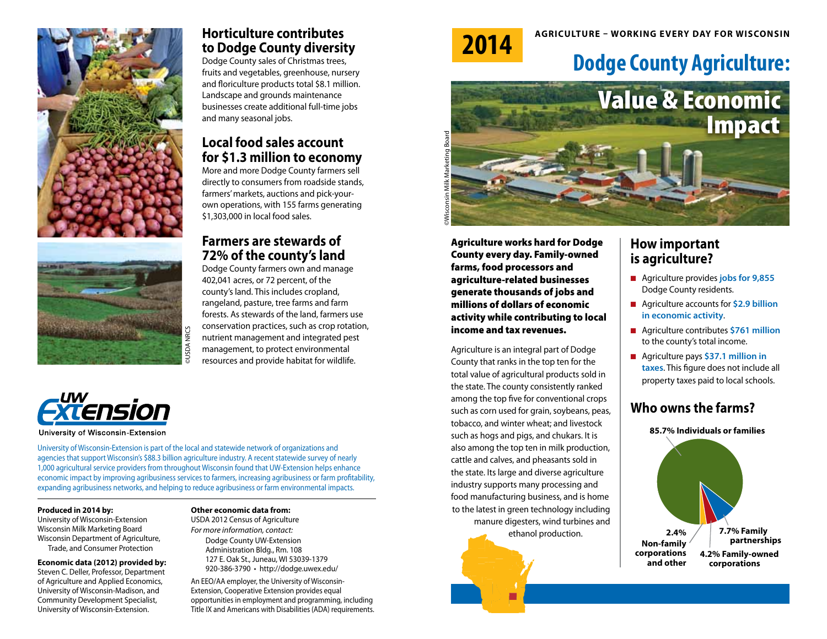



### **Horticulture contributes to Dodge County diversity**

Dodge County sales of Christmas trees, fruits and vegetables, greenhouse, nursery and floriculture products total \$8.1 million. Landscape and grounds maintenance businesses create additional full-time jobs and many seasonal jobs.

#### **Local food sales account for \$1.3 million to economy**

More and more Dodge County farmers sell directly to consumers from roadside stands, farmers' markets, auctions and pick-yourown operations, with 155 farms generating \$1,303,000 in local food sales.

### **Farmers are stewards of 72% of the county's land**

Dodge County farmers own and manage 402,041 acres, or 72 percent, of the county's land. This includes cropland, rangeland, pasture, tree farms and farm forests. As stewards of the land, farmers use conservation practices, such as crop rotation, nutrient management and integrated pest management, to protect environmental resources and provide habitat for wildlife.



University of Wisconsin-Extension

University of Wisconsin-Extension is part of the local and statewide network of organizations and agencies that support Wisconsin's \$88.3 billion agriculture industry. A recent statewide survey of nearly 1,000 agricultural service providers from throughout Wisconsin found that UW-Extension helps enhance economic impact by improving agribusiness services to farmers, increasing agribusiness or farm profitability, expanding agribusiness networks, and helping to reduce agribusiness or farm environmental impacts.

#### **Produced in 2014 by:**

University of Wisconsin-Extension Wisconsin Milk Marketing Board Wisconsin Department of Agriculture, Trade, and Consumer Protection

#### **Economic data (2012) provided by:**

Steven C. Deller, Professor, Department of Agriculture and Applied Economics, University of Wisconsin-Madison, and Community Development Specialist, University of Wisconsin-Extension.

#### **Other economic data from:**

USDA 2012 Census of Agriculture *For more information, contact:* Dodge County UW-Extension

Administration Bldg., Rm. 108 127 E. Oak St., Juneau, WI 53039-1379 920-386-3790 • http://dodge.uwex.edu/

An EEO/AA employer, the University of Wisconsin-Extension, Cooperative Extension provides equal opportunities in employment and programming, including Title IX and Americans with Disabilities (ADA) requirements.



# **Agriculture – working everY day for Wisconsin 2014**

## **Dodge County Agriculture:**



Agriculture works hard for Dodge County every day. Family-owned farms, food processors and agriculture-related businesses generate thousands of jobs and millions of dollars of economic activity while contributing to local income and tax revenues.

Agriculture is an integral part of Dodge County that ranks in the top ten for the total value of agricultural products sold in the state. The county consistently ranked among the top five for conventional crops such as corn used for grain, soybeans, peas, tobacco, and winter wheat; and livestock such as hogs and pigs, and chukars. It is also among the top ten in milk production, cattle and calves, and pheasants sold in the state. Its large and diverse agriculture industry supports many processing and food manufacturing business, and is home to the latest in green technology including manure digesters, wind turbines and ethanol production.

#### **How important is agriculture?**

- Agriculture provides **jobs for 9,855** Dodge County residents.
- Agriculture accounts for **\$2.9 billion in economic activity**.
- Agriculture contributes \$761 million to the county's total income.
- Agriculture pays **\$37.1 million in taxes**. This figure does not include all property taxes paid to local schools.

## **Who owns the farms?**